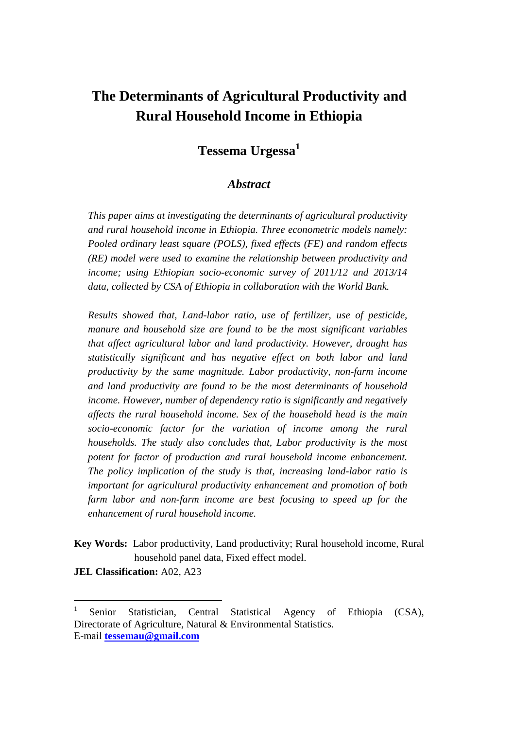# **The Determinants of Agricultural Productivity and Rural Household Income in Ethiopia**

# **Tessema Urgessa<sup>1</sup>**

#### *Abstract*

*This paper aims at investigating the determinants of agricultural productivity and rural household income in Ethiopia. Three econometric models namely: Pooled ordinary least square (POLS), fixed effects (FE) and random effects (RE) model were used to examine the relationship between productivity and income; using Ethiopian socio-economic survey of 2011/12 and 2013/14 data, collected by CSA of Ethiopia in collaboration with the World Bank.*

*Results showed that, Land-labor ratio, use of fertilizer, use of pesticide, manure and household size are found to be the most significant variables that affect agricultural labor and land productivity. However, drought has statistically significant and has negative effect on both labor and land productivity by the same magnitude. Labor productivity, non-farm income and land productivity are found to be the most determinants of household income. However, number of dependency ratio is significantly and negatively affects the rural household income. Sex of the household head is the main socio-economic factor for the variation of income among the rural households. The study also concludes that, Labor productivity is the most potent for factor of production and rural household income enhancement. The policy implication of the study is that, increasing land-labor ratio is important for agricultural productivity enhancement and promotion of both farm labor and non-farm income are best focusing to speed up for the enhancement of rural household income.*

**Key Words:** Labor productivity, Land productivity; Rural household income, Rural household panel data, Fixed effect model.

**JEL Classification:** A02, A23

<sup>1</sup> Senior Statistician, Central Statistical Agency of Ethiopia (CSA), Directorate of Agriculture, Natural & Environmental Statistics. E-mail **tessemau@gmail.com**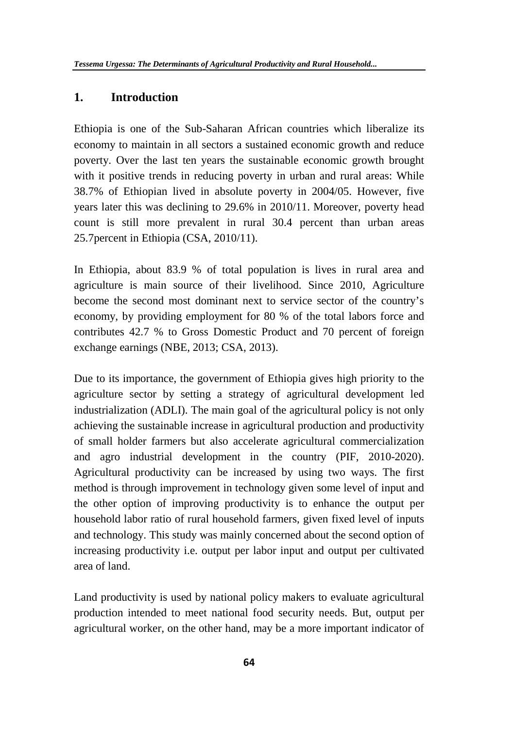### **1. Introduction**

Ethiopia is one of the Sub-Saharan African countries which liberalize its economy to maintain in all sectors a sustained economic growth and reduce poverty. Over the last ten years the sustainable economic growth brought with it positive trends in reducing poverty in urban and rural areas: While 38.7% of Ethiopian lived in absolute poverty in 2004/05. However, five years later this was declining to 29.6% in 2010/11. Moreover, poverty head count is still more prevalent in rural 30.4 percent than urban areas 25.7percent in Ethiopia (CSA, 2010/11).

In Ethiopia, about 83.9 % of total population is lives in rural area and agriculture is main source of their livelihood. Since 2010, Agriculture become the second most dominant next to service sector of the country's economy, by providing employment for 80 % of the total labors force and contributes 42.7 % to Gross Domestic Product and 70 percent of foreign exchange earnings (NBE, 2013; CSA, 2013).

Due to its importance, the government of Ethiopia gives high priority to the agriculture sector by setting a strategy of agricultural development led industrialization (ADLI). The main goal of the agricultural policy is not only achieving the sustainable increase in agricultural production and productivity of small holder farmers but also accelerate agricultural commercialization and agro industrial development in the country (PIF, 2010-2020). Agricultural productivity can be increased by using two ways. The first method is through improvement in technology given some level of input and the other option of improving productivity is to enhance the output per household labor ratio of rural household farmers, given fixed level of inputs and technology. This study was mainly concerned about the second option of increasing productivity i.e. output per labor input and output per cultivated area of land.

Land productivity is used by national policy makers to evaluate agricultural production intended to meet national food security needs. But, output per agricultural worker, on the other hand, may be a more important indicator of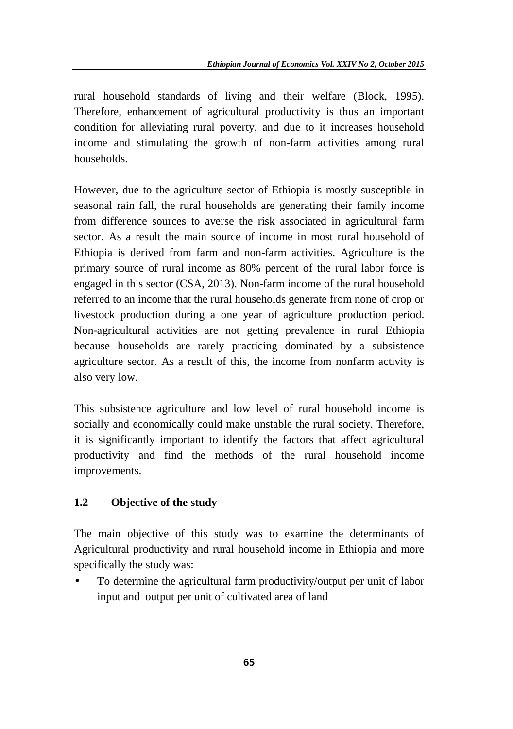rural household standards of living and their welfare (Block, 1995). Therefore, enhancement of agricultural productivity is thus an important condition for alleviating rural poverty, and due to it increases household income and stimulating the growth of non-farm activities among rural households.

However, due to the agriculture sector of Ethiopia is mostly susceptible in seasonal rain fall, the rural households are generating their family income from difference sources to averse the risk associated in agricultural farm sector. As a result the main source of income in most rural household of Ethiopia is derived from farm and non-farm activities. Agriculture is the primary source of rural income as 80% percent of the rural labor force is engaged in this sector (CSA, 2013). Non-farm income of the rural household referred to an income that the rural households generate from none of crop or livestock production during a one year of agriculture production period. Non-agricultural activities are not getting prevalence in rural Ethiopia because households are rarely practicing dominated by a subsistence agriculture sector. As a result of this, the income from nonfarm activity is also very low.

This subsistence agriculture and low level of rural household income is socially and economically could make unstable the rural society. Therefore, it is significantly important to identify the factors that affect agricultural productivity and find the methods of the rural household income improvements.

## **1.2 Objective of the study**

The main objective of this study was to examine the determinants of Agricultural productivity and rural household income in Ethiopia and more specifically the study was:

 To determine the agricultural farm productivity/output per unit of labor input and output per unit of cultivated area of land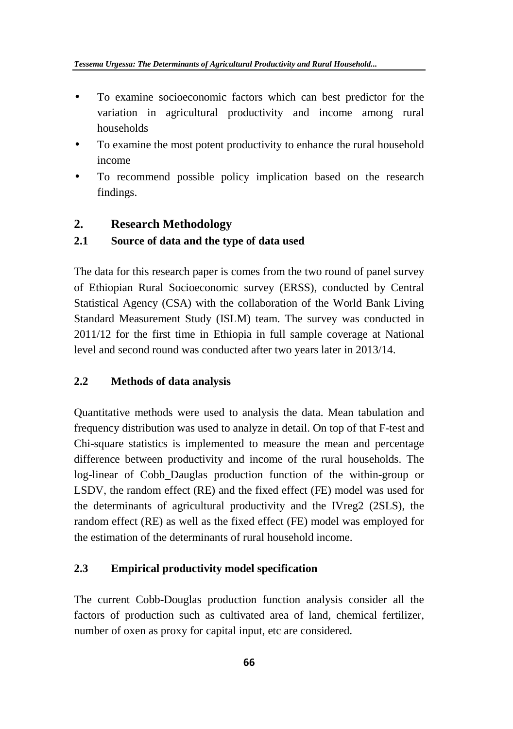- To examine socioeconomic factors which can best predictor for the variation in agricultural productivity and income among rural households
- To examine the most potent productivity to enhance the rural household income
- To recommend possible policy implication based on the research findings.

# **2. Research Methodology**

# **2.1 Source of data and the type of data used**

The data for this research paper is comes from the two round of panel survey of Ethiopian Rural Socioeconomic survey (ERSS), conducted by Central Statistical Agency (CSA) with the collaboration of the World Bank Living Standard Measurement Study (ISLM) team. The survey was conducted in 2011/12 for the first time in Ethiopia in full sample coverage at National level and second round was conducted after two years later in 2013/14.

# **2.2 Methods of data analysis**

Quantitative methods were used to analysis the data. Mean tabulation and frequency distribution was used to analyze in detail. On top of that F-test and Chi-square statistics is implemented to measure the mean and percentage difference between productivity and income of the rural households. The log-linear of Cobb\_Dauglas production function of the within-group or LSDV, the random effect (RE) and the fixed effect (FE) model was used for the determinants of agricultural productivity and the IVreg2 (2SLS), the random effect (RE) as well as the fixed effect (FE) model was employed for the estimation of the determinants of rural household income.

## **2.3 Empirical productivity model specification**

The current Cobb-Douglas production function analysis consider all the factors of production such as cultivated area of land, chemical fertilizer, number of oxen as proxy for capital input, etc are considered.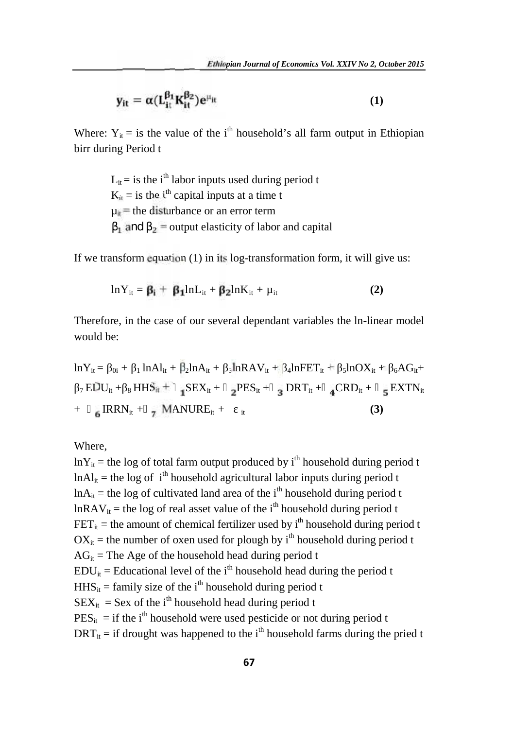$$
y_{it} = \alpha (L_{it}^{\beta_1} K_{it}^{\beta_2}) e^{\mu_{it}} \tag{1}
$$

Where:  $Y_{it}$  = is the value of the i<sup>th</sup> household's all farm output in Ethiopian birr during Period t

> $L_{it}$  = is the i<sup>th</sup> labor inputs used during period t  $K_{it}$  = is the i<sup>th</sup> capital inputs at a time t  $\mu_{it}$  = the disturbance or an error term and  $\bar{z}$  = output elasticity of labor and capital

If we transform equation (1) in its log-transformation form, it will give us:

$$
ln Y_{it} = \beta_i + \beta_1 ln L_{it} + \beta_2 ln K_{it} + \mu_{it}
$$
 (2)

Therefore, in the case of our several dependant variables the ln-linear model would be:

$$
lnY_{it} = 0i + 1lnAl_{it} + \beta_2lnA_{it} + 1lnAVI_{it} + 1lnFET_{it} + 1lnOX_{it} + 1lnFET_{it} + 1lnOX_{it} + 1lnFET_{it} + 1lnHST_{it} + 1lnHST_{it} + 1lnHST_{it} + 1lnHST_{it} + 1lnHST_{it} + 1lnHST_{it} + 1lnHST_{it} + 1lnHST_{it} + 1lnHST_{it} + 1lnHST_{it}
$$
\n(3)

Where,

 $lnY_{it}$  = the log of total farm output produced by i<sup>th</sup> household during period t  $ln A$ <sub>it</sub> = the log of i<sup>th</sup> household agricultural labor inputs during period t  $ln A_{it}$  = the log of cultivated land area of the i<sup>th</sup> household during period t  $lnRAV_{it}$  = the log of real asset value of the i<sup>th</sup> household during period t  $FET_{it}$  = the amount of chemical fertilizer used by i<sup>th</sup> household during period t  $OX_{it}$  = the number of oxen used for plough by i<sup>th</sup> household during period t  $AG_{it}$  = The Age of the household head during period t  $EDU_{it} =$  Educational level of the i<sup>th</sup> household head during the period t  $HHS_{it}$  = family size of the i<sup>th</sup> household during period t  $SEX_{it}$  = Sex of the i<sup>th</sup> household head during period t  $PES_{it}$  = if the i<sup>th</sup> household were used pesticide or not during period t  $DRT_{it}$  = if drought was happened to the i<sup>th</sup> household farms during the pried t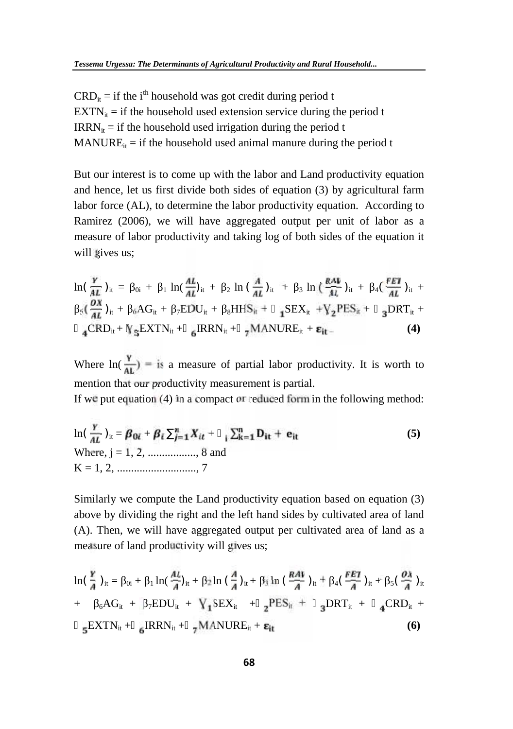$CRD_{it} =$  if the i<sup>th</sup> household was got credit during period t  $EXTN_{it}$  = if the household used extension service during the period t  $IRRN<sub>it</sub> = if the household used irrational during the period t$  $MANURE_{it}$  = if the household used animal manure during the period t

But our interest is to come up with the labor and Land productivity equation and hence, let us first divide both sides of equation (3) by agricultural farm labor force (AL), to determine the labor productivity equation. According to Ramirez (2006), we will have aggregated output per unit of labor as a measure of labor productivity and taking log of both sides of the equation it will gives us;

$$
\ln\left(\frac{\gamma}{AL}\right)_{it} = 0_{i} + 1\ln\left(\frac{AL}{AL}\right)_{it} + 2\ln\left(\frac{A}{AL}\right)_{it} + 3\ln\left(\frac{RAV}{AL}\right)_{it} + 4\left(\frac{FEV}{AL}\right)_{it} + 3\left(\frac{OX}{AL}\right)_{it} + 6AG_{it} + 7EDU_{it} + 8HHS_{it} + 12EX_{it} + V_{2}PES_{it} + 3DRT_{it} + 4CRD_{it} + V_{5}EXTN_{it} + 6RRN_{it} + 7MANURE_{it} + \epsilon_{it}.
$$
\n(4)

Where  $ln(\frac{Y}{4I}) =$  is a measure of partial labor productivity. It is worth to mention that our productivity measurement is partial.

If we put equation (4) in a compact or reduced form in the following method:

$$
\ln(\frac{Y}{AL})_{it} = \beta_{0i} + \beta_i \frac{n}{j-1} X_{it} + \sum_{j=1}^{n} D_{it} + e_{it}
$$
  
Where, j = 1, 2, ........., 8 and  
K = 1, 2, ........., 7

Similarly we compute the Land productivity equation based on equation (3) above by dividing the right and the left hand sides by cultivated area of land (A). Then, we will have aggregated output per cultivated area of land as a measure of land productivity will gives us;

$$
\ln\left(\frac{\gamma}{A}\right)_{it} = 0_{i} + 1\ln\left(\frac{AL}{A}\right)_{it} + 2\ln\left(\frac{A}{A}\right)_{it} + i_{3}\ln\left(\frac{RAV}{A}\right)_{it} + 4\left(\frac{FEI}{A}\right)_{it} + 5\left(\frac{OA}{A}\right)_{it} + 6AG_{it} + 7EDU_{it} + \frac{1}{15}SEX_{it} + 2^{PES_{it}} + 3DRT_{it} + 4CRD_{it} + 5EXTN_{it} + 6IRRN_{it} + 7MANURE_{it} + \epsilon_{it}
$$
\n(6)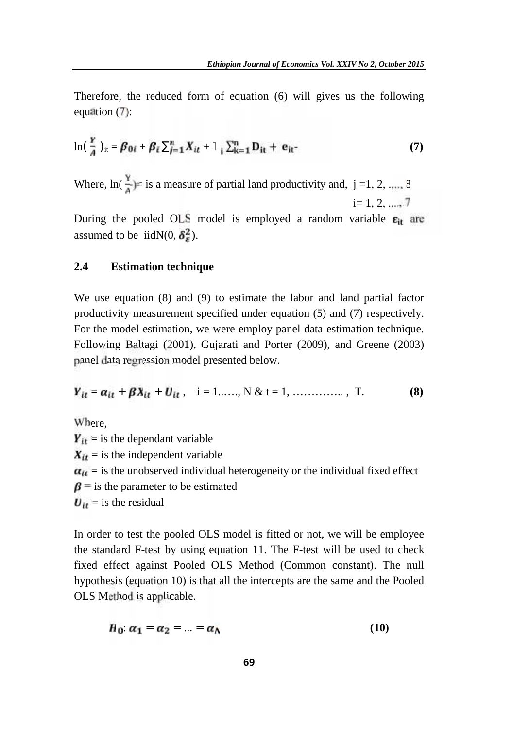Therefore, the reduced form of equation (6) will gives us the following equation (7):

$$
\ln\left(\frac{Y}{A}\right)_{it} = \beta_{0i} + \beta_i \quad \frac{n}{j=1}X_{it} + \sum_{i=1}^{n}D_{it} + e_{it} \tag{7}
$$

Where,  $\ln(\frac{Y}{n})$ = is a measure of partial land productivity and, j =1, 2, ...., 8  $i=1, 2, ...$ 

During the pooled OLS model is employed a random variable  $\varepsilon_{it}$  are assumed to be iidN(0,  $\delta^2$ ).

#### **2.4 Estimation technique**

We use equation (8) and (9) to estimate the labor and land partial factor productivity measurement specified under equation (5) and (7) respectively. For the model estimation, we were employ panel data estimation technique. Following Baltagi (2001), Gujarati and Porter (2009), and Greene (2003) panel data regression model presented below.

$$
Y_{it} = \alpha_{it} + \beta X_{it} + U_{it}, \quad i = 1, \dots, N \& t = 1, \dots, \dots, T. \tag{8}
$$

Where,  $Y_{it}$  = is the dependant variable  $X_{it}$  = is the independent variable  $a_{it}$  = is the unobserved individual heterogeneity or the individual fixed effect  $\beta$  = is the parameter to be estimated  $U_{it}$  = is the residual

In order to test the pooled OLS model is fitted or not, we will be employee the standard F-test by using equation 11. The F-test will be used to check fixed effect against Pooled OLS Method (Common constant). The null hypothesis (equation 10) is that all the intercepts are the same and the Pooled OLS Method is applicable.

$$
H_0: \alpha_1 = \alpha_2 = \ldots = \alpha_N \tag{10}
$$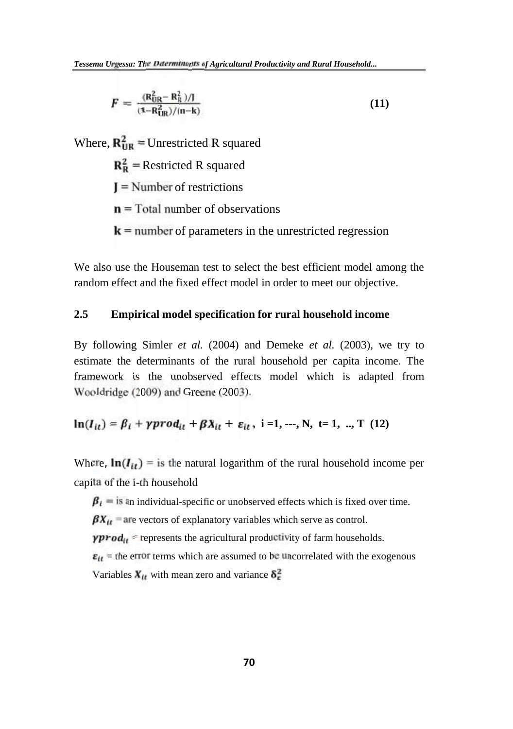$$
F = \frac{(\mathbf{R}_{\text{UR}}^2 - \mathbf{R}_{\text{R}}^2)/I}{(1 - \mathbf{R}_{\text{UR}}^2)/(n - k)}\tag{11}
$$

Where,  $\mathbf{R}_{\text{IIB}}^2$  = Unrestricted R squared

 $\mathbf{R}_{\mathbf{R}}^2$  = Restricted R squared

**=** Number of restrictions

**=** Total number of observations

**=** number of parameters in the unrestricted regression

We also use the Houseman test to select the best efficient model among the random effect and the fixed effect model in order to meet our objective.

#### **2.5 Empirical model specification for rural household income**

By following Simler *et al.* (2004) and Demeke *et al.* (2003), we try to estimate the determinants of the rural household per capita income. The framework is the unobserved effects model which is adapted from Wooldridge (2009) and Greene (2003).

$$
\ln(I_{it}) = \beta_i + \gamma prod_{it} + \beta X_{it} + \varepsilon_{it}, \ i = 1, ..., N, \ t = 1, ..., T \ (12)
$$

Where,  $\ln(I_{it})$  = is the natural logarithm of the rural household income per capita of the i-th household

 $\beta_i$  = is an individual-specific or unobserved effects which is fixed over time.  $\beta X_{it}$  = are vectors of explanatory variables which serve as control.  $\gamma \text{prod}_{tt}$  = represents the agricultural productivity of farm households.  $\varepsilon_{tt}$  = the error terms which are assumed to be uncorrelated with the exogenous Variables  $X_{tt}$  with mean zero and variance  $\delta_{\epsilon}^2$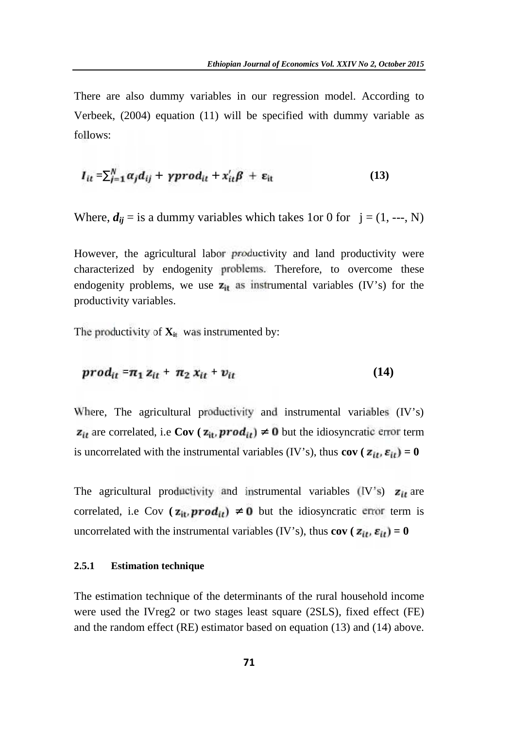There are also dummy variables in our regression model. According to Verbeek, (2004) equation (11) will be specified with dummy variable as follows:

$$
I_{it} = \int_{j=1}^{N} \alpha_j d_{ij} + \gamma \text{prod}_{it} + x_{it}' \beta + \epsilon_{it} \tag{13}
$$

Where,  $d_{ij}$  = is a dummy variables which takes 1or 0 for  $j = (1, -1, N)$ 

However, the agricultural labor productivity and land productivity were characterized by endogenity problems. Therefore, to overcome these endogenity problems, we use  $z_{it}$  as instrumental variables (IV's) for the productivity variables.

The productivity of  $\mathbf{X}_{it}$  was instrumented by:

$$
prod_{it} = \pi_1 z_{it} + \pi_2 x_{it} + v_{it}
$$
 (14)

Where, The agricultural productivity and instrumental variables (IV's)  $z_{it}$  are correlated, i.e **Cov** ( $z_{it}$ , **prod**<sub>it</sub>) 0 but the idiosyncratic error term is uncorrelated with the instrumental variables (IV's), thus **cov** ( $z_{it}$ ,  $\varepsilon_{it}$ ) = 0

The agricultural productivity and instrumental variables (IV's)  $z_{it}$  are correlated, i.e Cov  $(\mathbf{z}_{it}, \text{prod}_{it})$  **0** but the idiosyncratic error term is uncorrelated with the instrumental variables (IV's), thus **cov** ( $\mathbf{z}_{it}$ ,  $\mathbf{\varepsilon}_{it}$ ) = 0

#### **2.5.1 Estimation technique**

The estimation technique of the determinants of the rural household income were used the IVreg2 or two stages least square (2SLS), fixed effect (FE) and the random effect (RE) estimator based on equation (13) and (14) above.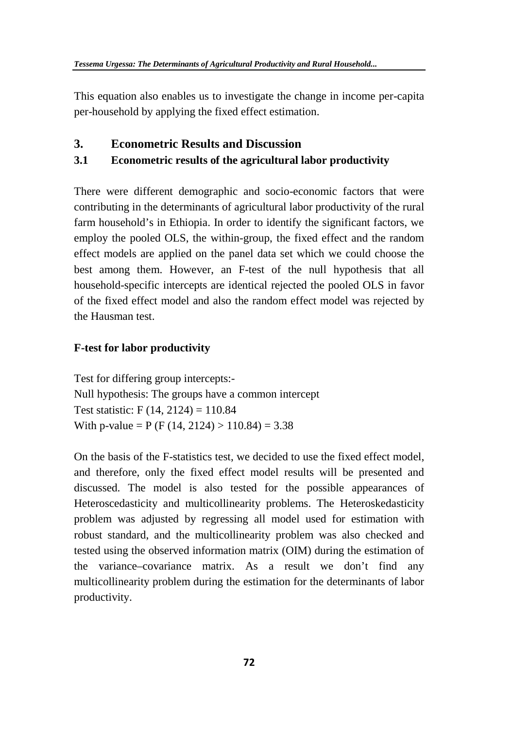This equation also enables us to investigate the change in income per-capita per-household by applying the fixed effect estimation.

#### **3. Econometric Results and Discussion**

### **3.1 Econometric results of the agricultural labor productivity**

There were different demographic and socio-economic factors that were contributing in the determinants of agricultural labor productivity of the rural farm household's in Ethiopia. In order to identify the significant factors, we employ the pooled OLS, the within-group, the fixed effect and the random effect models are applied on the panel data set which we could choose the best among them. However, an F-test of the null hypothesis that all household-specific intercepts are identical rejected the pooled OLS in favor of the fixed effect model and also the random effect model was rejected by the Hausman test.

#### **F-test for labor productivity**

Test for differing group intercepts:- Null hypothesis: The groups have a common intercept Test statistic: F (14, 2124) = 110.84 With p-value = P (F (14, 2124) > 110.84) = 3.38

On the basis of the F-statistics test, we decided to use the fixed effect model, and therefore, only the fixed effect model results will be presented and discussed. The model is also tested for the possible appearances of Heteroscedasticity and multicollinearity problems. The Heteroskedasticity problem was adjusted by regressing all model used for estimation with robust standard, and the multicollinearity problem was also checked and tested using the observed information matrix (OIM) during the estimation of the variance–covariance matrix. As a result we don't find any multicollinearity problem during the estimation for the determinants of labor productivity.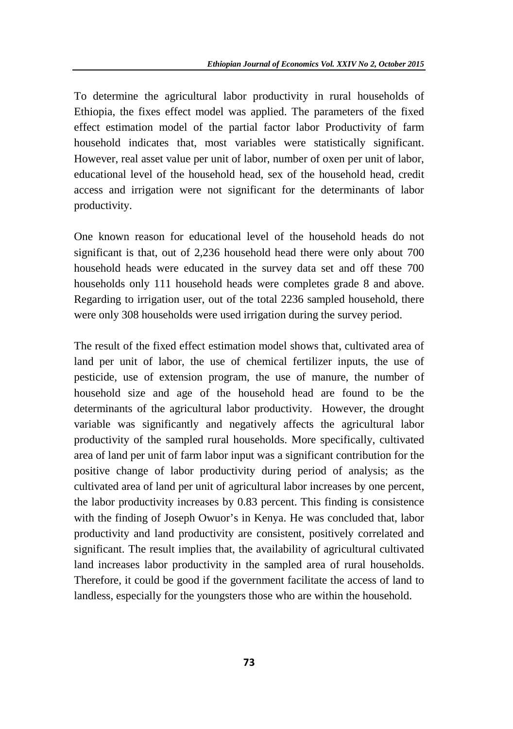To determine the agricultural labor productivity in rural households of Ethiopia, the fixes effect model was applied. The parameters of the fixed effect estimation model of the partial factor labor Productivity of farm household indicates that, most variables were statistically significant. However, real asset value per unit of labor, number of oxen per unit of labor, educational level of the household head, sex of the household head, credit access and irrigation were not significant for the determinants of labor productivity.

One known reason for educational level of the household heads do not significant is that, out of 2,236 household head there were only about 700 household heads were educated in the survey data set and off these 700 households only 111 household heads were completes grade 8 and above. Regarding to irrigation user, out of the total 2236 sampled household, there were only 308 households were used irrigation during the survey period.

The result of the fixed effect estimation model shows that, cultivated area of land per unit of labor, the use of chemical fertilizer inputs, the use of pesticide, use of extension program, the use of manure, the number of household size and age of the household head are found to be the determinants of the agricultural labor productivity. However, the drought variable was significantly and negatively affects the agricultural labor productivity of the sampled rural households. More specifically, cultivated area of land per unit of farm labor input was a significant contribution for the positive change of labor productivity during period of analysis; as the cultivated area of land per unit of agricultural labor increases by one percent, the labor productivity increases by 0.83 percent. This finding is consistence with the finding of Joseph Owuor's in Kenya. He was concluded that, labor productivity and land productivity are consistent, positively correlated and significant. The result implies that, the availability of agricultural cultivated land increases labor productivity in the sampled area of rural households. Therefore, it could be good if the government facilitate the access of land to landless, especially for the youngsters those who are within the household.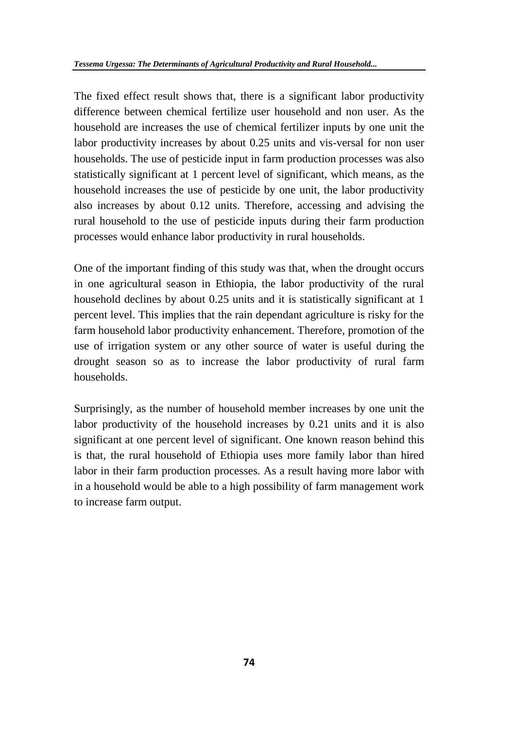The fixed effect result shows that, there is a significant labor productivity difference between chemical fertilize user household and non user. As the household are increases the use of chemical fertilizer inputs by one unit the labor productivity increases by about 0.25 units and vis-versal for non user households. The use of pesticide input in farm production processes was also statistically significant at 1 percent level of significant, which means, as the household increases the use of pesticide by one unit, the labor productivity also increases by about 0.12 units. Therefore, accessing and advising the rural household to the use of pesticide inputs during their farm production processes would enhance labor productivity in rural households.

One of the important finding of this study was that, when the drought occurs in one agricultural season in Ethiopia, the labor productivity of the rural household declines by about 0.25 units and it is statistically significant at 1 percent level. This implies that the rain dependant agriculture is risky for the farm household labor productivity enhancement. Therefore, promotion of the use of irrigation system or any other source of water is useful during the drought season so as to increase the labor productivity of rural farm households.

Surprisingly, as the number of household member increases by one unit the labor productivity of the household increases by 0.21 units and it is also significant at one percent level of significant. One known reason behind this is that, the rural household of Ethiopia uses more family labor than hired labor in their farm production processes. As a result having more labor with in a household would be able to a high possibility of farm management work to increase farm output.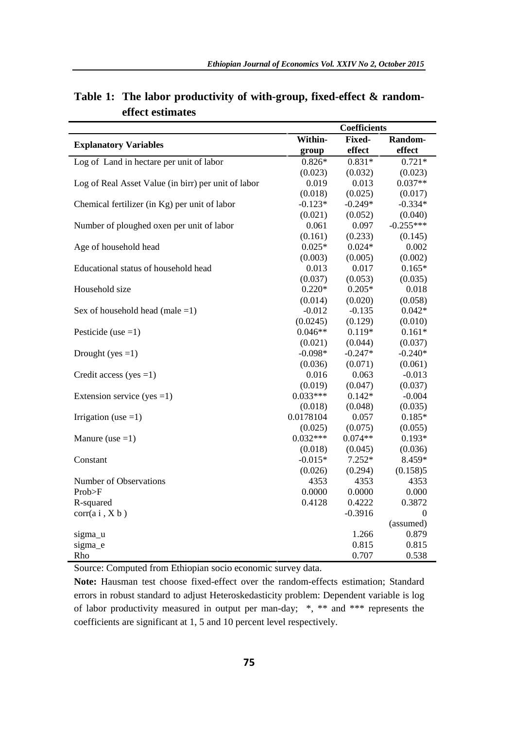|                                                     |            | <b>Coefficients</b> |             |
|-----------------------------------------------------|------------|---------------------|-------------|
|                                                     | Within-    | <b>Fixed-</b>       | Random-     |
| <b>Explanatory Variables</b>                        | group      | effect              | effect      |
| Log of Land in hectare per unit of labor            | $0.826*$   | $0.831*$            | $0.721*$    |
|                                                     | (0.023)    | (0.032)             | (0.023)     |
| Log of Real Asset Value (in birr) per unit of labor | 0.019      | 0.013               | $0.037**$   |
|                                                     | (0.018)    | (0.025)             | (0.017)     |
| Chemical fertilizer (in Kg) per unit of labor       | $-0.123*$  | $-0.249*$           | $-0.334*$   |
|                                                     | (0.021)    | (0.052)             | (0.040)     |
| Number of ploughed oxen per unit of labor           | 0.061      | 0.097               | $-0.255***$ |
|                                                     | (0.161)    | (0.233)             | (0.145)     |
| Age of household head                               | $0.025*$   | $0.024*$            | 0.002       |
|                                                     | (0.003)    | (0.005)             | (0.002)     |
| Educational status of household head                | 0.013      | 0.017               | $0.165*$    |
|                                                     | (0.037)    | (0.053)             | (0.035)     |
| Household size                                      | $0.220*$   | $0.205*$            | 0.018       |
|                                                     | (0.014)    | (0.020)             | (0.058)     |
| Sex of household head (male $=1$ )                  | $-0.012$   | $-0.135$            | $0.042*$    |
|                                                     | (0.0245)   | (0.129)             | (0.010)     |
| Pesticide (use $=1$ )                               | $0.046**$  | $0.119*$            | $0.161*$    |
|                                                     | (0.021)    | (0.044)             | (0.037)     |
| Drought (yes $=1$ )                                 | $-0.098*$  | $-0.247*$           | $-0.240*$   |
|                                                     | (0.036)    | (0.071)             | (0.061)     |
| Credit access (yes $=1$ )                           | 0.016      | 0.063               | $-0.013$    |
|                                                     | (0.019)    | (0.047)             | (0.037)     |
| Extension service (yes = 1)                         | $0.033***$ | $0.142*$            | $-0.004$    |
|                                                     | (0.018)    | (0.048)             | (0.035)     |
| Irrigation (use $=1$ )                              | 0.0178104  | 0.057               | $0.185*$    |
|                                                     | (0.025)    | (0.075)             | (0.055)     |
| Manure (use $=1$ )                                  | $0.032***$ | $0.074**$           | $0.193*$    |
|                                                     | (0.018)    | (0.045)             | (0.036)     |
| Constant                                            | $-0.015*$  | $7.252*$            | 8.459*      |
|                                                     | (0.026)    | (0.294)             | (0.158)5    |
| Number of Observations                              | 4353       | 4353                | 4353        |
| Prob>F                                              | 0.0000     | 0.0000              | 0.000       |
| R-squared                                           | 0.4128     | 0.4222              | 0.3872      |
| corr(ai, Xb)                                        |            | $-0.3916$           | $\Omega$    |
|                                                     |            |                     | (assumed)   |
| sigma_u                                             |            | 1.266               | 0.879       |
| sigma e                                             |            | 0.815               | 0.815       |
| Rho                                                 |            | 0.707               | 0.538       |

**Table 1: The labor productivity of with-group, fixed-effect & random effect estimates**

Source: Computed from Ethiopian socio economic survey data.

**Note:** Hausman test choose fixed-effect over the random-effects estimation; Standard errors in robust standard to adjust Heteroskedasticity problem: Dependent variable is log of labor productivity measured in output per man-day; \*, \*\* and \*\*\* represents the coefficients are significant at 1, 5 and 10 percent level respectively.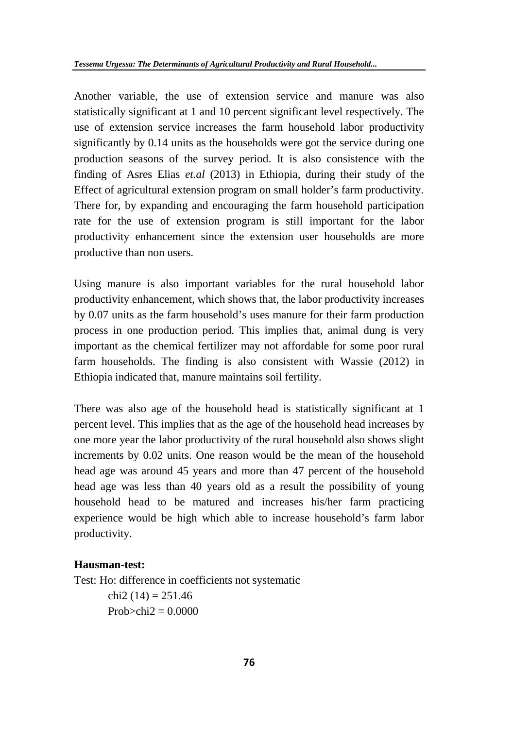Another variable, the use of extension service and manure was also statistically significant at 1 and 10 percent significant level respectively. The use of extension service increases the farm household labor productivity significantly by 0.14 units as the households were got the service during one production seasons of the survey period. It is also consistence with the finding of Asres Elias *et.al* (2013) in Ethiopia, during their study of the Effect of agricultural extension program on small holder's farm productivity. There for, by expanding and encouraging the farm household participation rate for the use of extension program is still important for the labor productivity enhancement since the extension user households are more productive than non users.

Using manure is also important variables for the rural household labor productivity enhancement, which shows that, the labor productivity increases by 0.07 units as the farm household's uses manure for their farm production process in one production period. This implies that, animal dung is very important as the chemical fertilizer may not affordable for some poor rural farm households. The finding is also consistent with Wassie (2012) in Ethiopia indicated that, manure maintains soil fertility.

There was also age of the household head is statistically significant at 1 percent level. This implies that as the age of the household head increases by one more year the labor productivity of the rural household also shows slight increments by 0.02 units. One reason would be the mean of the household head age was around 45 years and more than 47 percent of the household head age was less than 40 years old as a result the possibility of young household head to be matured and increases his/her farm practicing experience would be high which able to increase household's farm labor productivity.

#### **Hausman-test:**

Test: Ho: difference in coefficients not systematic chi<sub>2</sub> (14) = 251.46  $Probability2 = 0.0000$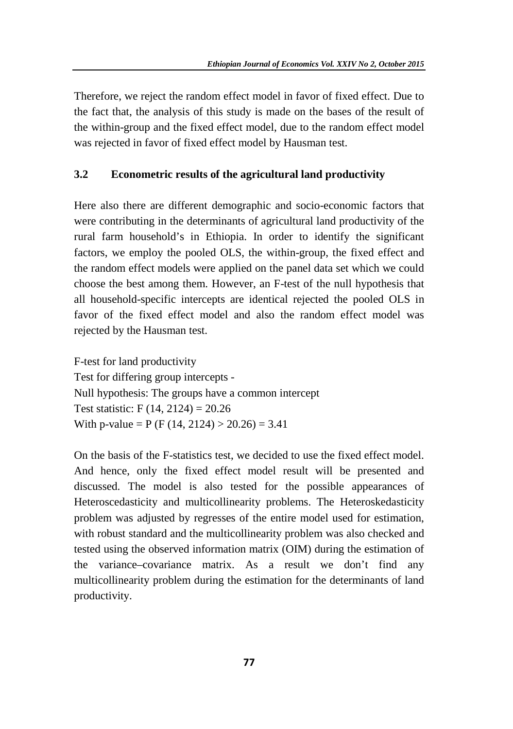Therefore, we reject the random effect model in favor of fixed effect. Due to the fact that, the analysis of this study is made on the bases of the result of the within-group and the fixed effect model, due to the random effect model was rejected in favor of fixed effect model by Hausman test.

### **3.2 Econometric results of the agricultural land productivity**

Here also there are different demographic and socio-economic factors that were contributing in the determinants of agricultural land productivity of the rural farm household's in Ethiopia. In order to identify the significant factors, we employ the pooled OLS, the within-group, the fixed effect and the random effect models were applied on the panel data set which we could choose the best among them. However, an F-test of the null hypothesis that all household-specific intercepts are identical rejected the pooled OLS in favor of the fixed effect model and also the random effect model was rejected by the Hausman test.

F-test for land productivity Test for differing group intercepts - Null hypothesis: The groups have a common intercept Test statistic: F  $(14, 2124) = 20.26$ With p-value = P (F (14, 2124) > 20.26) = 3.41

On the basis of the F-statistics test, we decided to use the fixed effect model. And hence, only the fixed effect model result will be presented and discussed. The model is also tested for the possible appearances of Heteroscedasticity and multicollinearity problems. The Heteroskedasticity problem was adjusted by regresses of the entire model used for estimation, with robust standard and the multicollinearity problem was also checked and tested using the observed information matrix (OIM) during the estimation of the variance–covariance matrix. As a result we don't find any multicollinearity problem during the estimation for the determinants of land productivity.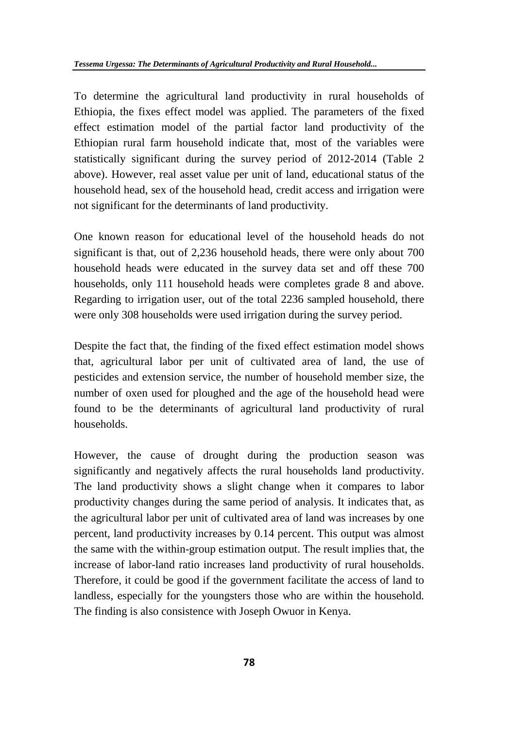To determine the agricultural land productivity in rural households of Ethiopia, the fixes effect model was applied. The parameters of the fixed effect estimation model of the partial factor land productivity of the Ethiopian rural farm household indicate that, most of the variables were statistically significant during the survey period of 2012-2014 (Table 2 above). However, real asset value per unit of land, educational status of the household head, sex of the household head, credit access and irrigation were not significant for the determinants of land productivity.

One known reason for educational level of the household heads do not significant is that, out of 2,236 household heads, there were only about 700 household heads were educated in the survey data set and off these 700 households, only 111 household heads were completes grade 8 and above. Regarding to irrigation user, out of the total 2236 sampled household, there were only 308 households were used irrigation during the survey period.

Despite the fact that, the finding of the fixed effect estimation model shows that, agricultural labor per unit of cultivated area of land, the use of pesticides and extension service, the number of household member size, the number of oxen used for ploughed and the age of the household head were found to be the determinants of agricultural land productivity of rural households.

However, the cause of drought during the production season was significantly and negatively affects the rural households land productivity. The land productivity shows a slight change when it compares to labor productivity changes during the same period of analysis. It indicates that, as the agricultural labor per unit of cultivated area of land was increases by one percent, land productivity increases by 0.14 percent. This output was almost the same with the within-group estimation output. The result implies that, the increase of labor-land ratio increases land productivity of rural households. Therefore, it could be good if the government facilitate the access of land to landless, especially for the youngsters those who are within the household. The finding is also consistence with Joseph Owuor in Kenya.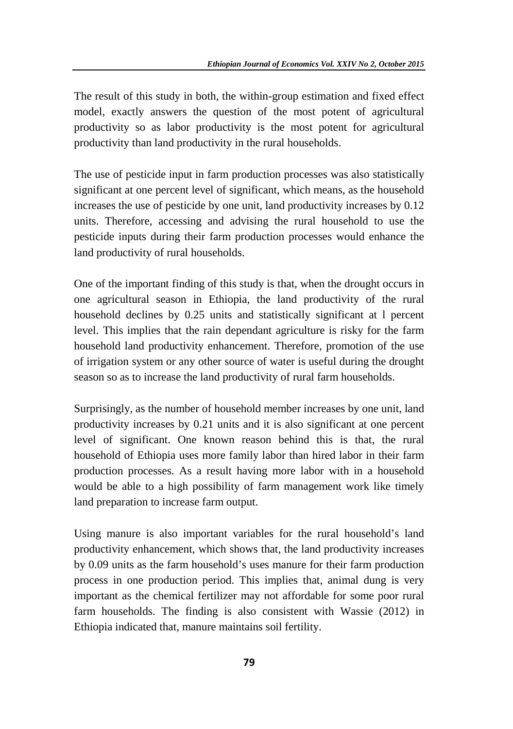The result of this study in both, the within-group estimation and fixed effect model, exactly answers the question of the most potent of agricultural productivity so as labor productivity is the most potent for agricultural productivity than land productivity in the rural households.

The use of pesticide input in farm production processes was also statistically significant at one percent level of significant, which means, as the household increases the use of pesticide by one unit, land productivity increases by 0.12 units. Therefore, accessing and advising the rural household to use the pesticide inputs during their farm production processes would enhance the land productivity of rural households.

One of the important finding of this study is that, when the drought occurs in one agricultural season in Ethiopia, the land productivity of the rural household declines by 0.25 units and statistically significant at l percent level. This implies that the rain dependant agriculture is risky for the farm household land productivity enhancement. Therefore, promotion of the use of irrigation system or any other source of water is useful during the drought season so as to increase the land productivity of rural farm households.

Surprisingly, as the number of household member increases by one unit, land productivity increases by 0.21 units and it is also significant at one percent level of significant. One known reason behind this is that, the rural household of Ethiopia uses more family labor than hired labor in their farm production processes. As a result having more labor with in a household would be able to a high possibility of farm management work like timely land preparation to increase farm output.

Using manure is also important variables for the rural household's land productivity enhancement, which shows that, the land productivity increases by 0.09 units as the farm household's uses manure for their farm production process in one production period. This implies that, animal dung is very important as the chemical fertilizer may not affordable for some poor rural farm households. The finding is also consistent with Wassie (2012) in Ethiopia indicated that, manure maintains soil fertility.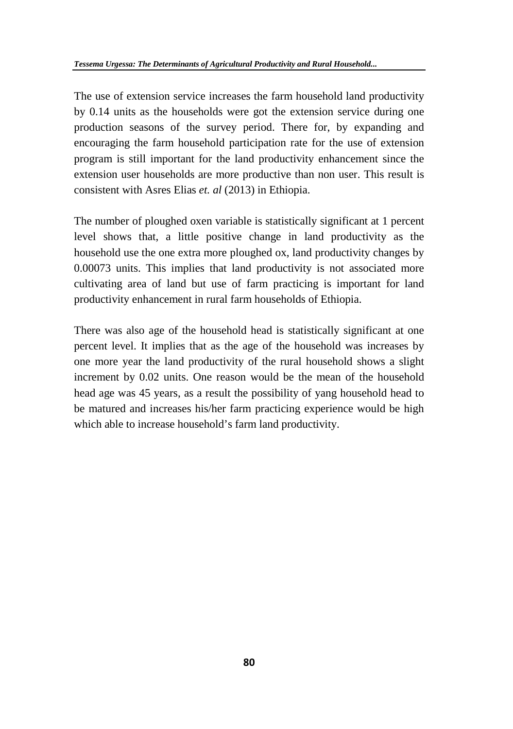The use of extension service increases the farm household land productivity by 0.14 units as the households were got the extension service during one production seasons of the survey period. There for, by expanding and encouraging the farm household participation rate for the use of extension program is still important for the land productivity enhancement since the extension user households are more productive than non user. This result is consistent with Asres Elias *et. al* (2013) in Ethiopia.

The number of ploughed oxen variable is statistically significant at 1 percent level shows that, a little positive change in land productivity as the household use the one extra more ploughed ox, land productivity changes by 0.00073 units. This implies that land productivity is not associated more cultivating area of land but use of farm practicing is important for land productivity enhancement in rural farm households of Ethiopia.

There was also age of the household head is statistically significant at one percent level. It implies that as the age of the household was increases by one more year the land productivity of the rural household shows a slight increment by 0.02 units. One reason would be the mean of the household head age was 45 years, as a result the possibility of yang household head to be matured and increases his/her farm practicing experience would be high which able to increase household's farm land productivity.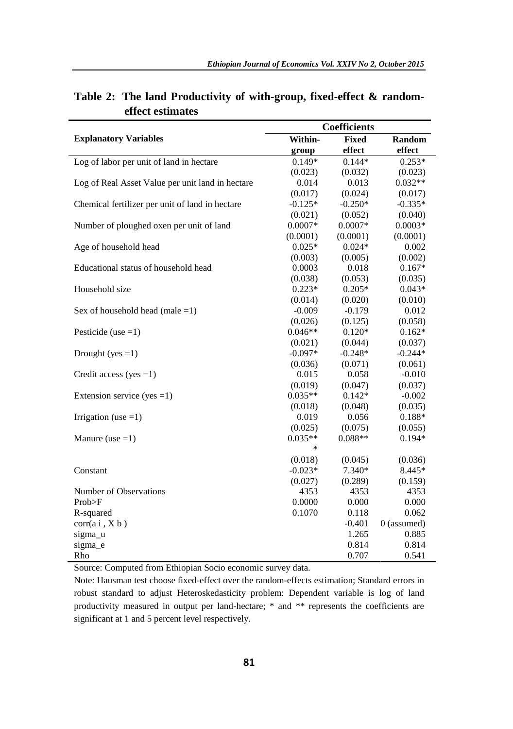|                                                  | <b>Coefficients</b> |              |               |  |  |
|--------------------------------------------------|---------------------|--------------|---------------|--|--|
| <b>Explanatory Variables</b>                     | Within-             | <b>Fixed</b> | Random        |  |  |
|                                                  | group               | effect       | effect        |  |  |
| Log of labor per unit of land in hectare         | $0.149*$            | $0.144*$     | $0.253*$      |  |  |
|                                                  | (0.023)             | (0.032)      | (0.023)       |  |  |
| Log of Real Asset Value per unit land in hectare | 0.014               | 0.013        | $0.032**$     |  |  |
|                                                  | (0.017)             | (0.024)      | (0.017)       |  |  |
| Chemical fertilizer per unit of land in hectare  | $-0.125*$           | $-0.250*$    | $-0.335*$     |  |  |
|                                                  | (0.021)             | (0.052)      | (0.040)       |  |  |
| Number of ploughed oxen per unit of land         | $0.0007*$           | $0.0007*$    | $0.0003*$     |  |  |
|                                                  | (0.0001)            | (0.0001)     | (0.0001)      |  |  |
| Age of household head                            | $0.025*$            | $0.024*$     | 0.002         |  |  |
|                                                  | (0.003)             | (0.005)      | (0.002)       |  |  |
| Educational status of household head             | 0.0003              | 0.018        | $0.167*$      |  |  |
|                                                  | (0.038)             | (0.053)      | (0.035)       |  |  |
| Household size                                   | $0.223*$            | $0.205*$     | $0.043*$      |  |  |
|                                                  | (0.014)             | (0.020)      | (0.010)       |  |  |
| Sex of household head (male $=1$ )               | $-0.009$            | $-0.179$     | 0.012         |  |  |
|                                                  | (0.026)             | (0.125)      | (0.058)       |  |  |
| Pesticide (use $=1$ )                            | $0.046**$           | $0.120*$     | $0.162*$      |  |  |
|                                                  | (0.021)             | (0.044)      | (0.037)       |  |  |
| Drought (yes $=1$ )                              | $-0.097*$           | $-0.248*$    | $-0.244*$     |  |  |
|                                                  | (0.036)             | (0.071)      | (0.061)       |  |  |
| Credit access (yes $=1$ )                        | 0.015               | 0.058        | $-0.010$      |  |  |
|                                                  | (0.019)             | (0.047)      | (0.037)       |  |  |
| Extension service (yes = 1)                      | $0.035**$           | $0.142*$     | $-0.002$      |  |  |
|                                                  | (0.018)             | (0.048)      | (0.035)       |  |  |
| Irrigation (use $=1$ )                           | 0.019               | 0.056        | $0.188*$      |  |  |
|                                                  | (0.025)             | (0.075)      | (0.055)       |  |  |
| Manure (use $=1$ )                               | $0.035**$           | $0.088**$    | $0.194*$      |  |  |
|                                                  | $\ast$              |              |               |  |  |
|                                                  | (0.018)             | (0.045)      | (0.036)       |  |  |
| Constant                                         | $-0.023*$           | 7.340*       | 8.445*        |  |  |
|                                                  | (0.027)             | (0.289)      | (0.159)       |  |  |
| Number of Observations                           | 4353                | 4353         | 4353          |  |  |
| Prob>F                                           | 0.0000              | 0.000        | 0.000         |  |  |
| R-squared                                        | 0.1070              | 0.118        | 0.062         |  |  |
| corr(a i, X b)                                   |                     | $-0.401$     | $0$ (assumed) |  |  |
| sigma u                                          |                     | 1.265        | 0.885         |  |  |
| sigma_e                                          |                     | 0.814        | 0.814         |  |  |
| Rho                                              |                     | 0.707        | 0.541         |  |  |

## **Table 2: The land Productivity of with-group, fixed-effect & random effect estimates**

Source: Computed from Ethiopian Socio economic survey data.

Note: Hausman test choose fixed-effect over the random-effects estimation; Standard errors in robust standard to adjust Heteroskedasticity problem: Dependent variable is log of land productivity measured in output per land-hectare; \* and \*\* represents the coefficients are significant at 1 and 5 percent level respectively.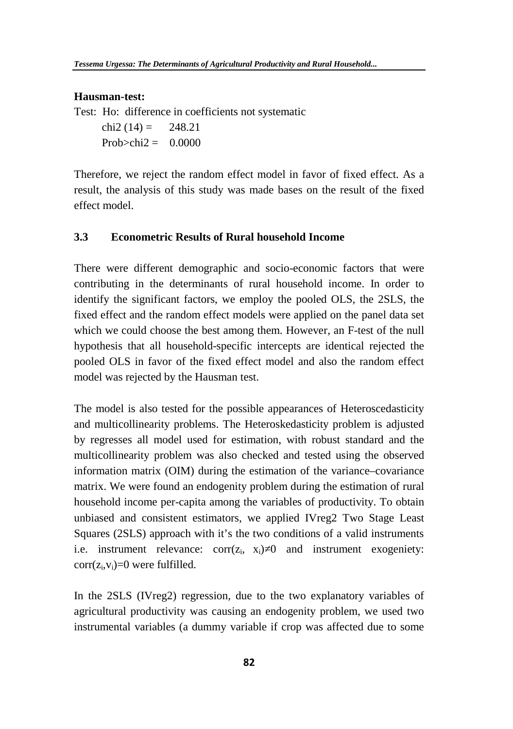#### **Hausman-test:**

Test: Ho: difference in coefficients not systematic

chi2  $(14) = 248.21$ Prob $\ge$ chi2 = 0.0000

Therefore, we reject the random effect model in favor of fixed effect. As a result, the analysis of this study was made bases on the result of the fixed effect model.

#### **3.3 Econometric Results of Rural household Income**

There were different demographic and socio-economic factors that were contributing in the determinants of rural household income. In order to identify the significant factors, we employ the pooled OLS, the 2SLS, the fixed effect and the random effect models were applied on the panel data set which we could choose the best among them. However, an F-test of the null hypothesis that all household-specific intercepts are identical rejected the pooled OLS in favor of the fixed effect model and also the random effect model was rejected by the Hausman test.

The model is also tested for the possible appearances of Heteroscedasticity and multicollinearity problems. The Heteroskedasticity problem is adjusted by regresses all model used for estimation, with robust standard and the multicollinearity problem was also checked and tested using the observed information matrix (OIM) during the estimation of the variance–covariance matrix. We were found an endogenity problem during the estimation of rural household income per-capita among the variables of productivity. To obtain unbiased and consistent estimators, we applied IVreg2 Two Stage Least Squares (2SLS) approach with it's the two conditions of a valid instruments i.e. instrument relevance:  $corr(z_i, x_i)$  0 and instrument exogeniety:  $corr(z_i, v_i)=0$  were fulfilled.

In the 2SLS (IVreg2) regression, due to the two explanatory variables of agricultural productivity was causing an endogenity problem, we used two instrumental variables (a dummy variable if crop was affected due to some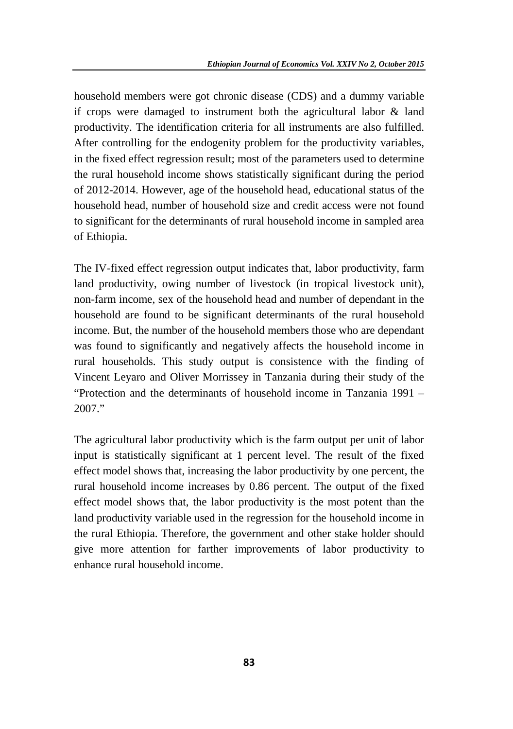household members were got chronic disease (CDS) and a dummy variable if crops were damaged to instrument both the agricultural labor & land productivity. The identification criteria for all instruments are also fulfilled. After controlling for the endogenity problem for the productivity variables, in the fixed effect regression result; most of the parameters used to determine the rural household income shows statistically significant during the period of 2012-2014. However, age of the household head, educational status of the household head, number of household size and credit access were not found to significant for the determinants of rural household income in sampled area of Ethiopia.

The IV-fixed effect regression output indicates that, labor productivity, farm land productivity, owing number of livestock (in tropical livestock unit), non-farm income, sex of the household head and number of dependant in the household are found to be significant determinants of the rural household income. But, the number of the household members those who are dependant was found to significantly and negatively affects the household income in rural households. This study output is consistence with the finding of Vincent Leyaro and Oliver Morrissey in Tanzania during their study of the "Protection and the determinants of household income in Tanzania 1991 – 2007."

The agricultural labor productivity which is the farm output per unit of labor input is statistically significant at 1 percent level. The result of the fixed effect model shows that, increasing the labor productivity by one percent, the rural household income increases by 0.86 percent. The output of the fixed effect model shows that, the labor productivity is the most potent than the land productivity variable used in the regression for the household income in the rural Ethiopia. Therefore, the government and other stake holder should give more attention for farther improvements of labor productivity to enhance rural household income.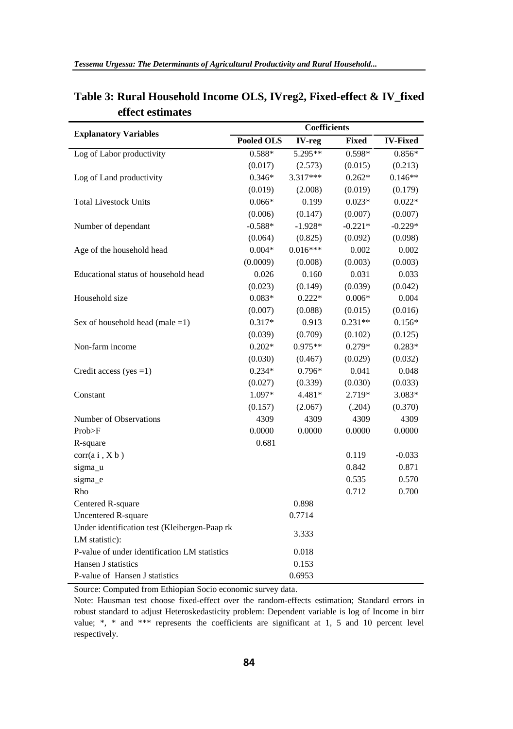| <b>Explanatory Variables</b>                  | Coefficients      |            |           |                 |  |
|-----------------------------------------------|-------------------|------------|-----------|-----------------|--|
|                                               | <b>Pooled OLS</b> | IV-reg     | Fixed     | <b>IV-Fixed</b> |  |
| Log of Labor productivity                     | $0.588*$          | 5.295**    | $0.598*$  | $0.856*$        |  |
|                                               | (0.017)           | (2.573)    | (0.015)   | (0.213)         |  |
| Log of Land productivity                      | $0.346*$          | $3.317***$ | $0.262*$  | $0.146**$       |  |
|                                               | (0.019)           | (2.008)    | (0.019)   | (0.179)         |  |
| <b>Total Livestock Units</b>                  | $0.066*$          | 0.199      | $0.023*$  | $0.022*$        |  |
|                                               | (0.006)           | (0.147)    | (0.007)   | (0.007)         |  |
| Number of dependant                           | $-0.588*$         | $-1.928*$  | $-0.221*$ | $-0.229*$       |  |
|                                               | (0.064)           | (0.825)    | (0.092)   | (0.098)         |  |
| Age of the household head                     | $0.004*$          | $0.016***$ | 0.002     | 0.002           |  |
|                                               | (0.0009)          | (0.008)    | (0.003)   | (0.003)         |  |
| Educational status of household head          | 0.026             | 0.160      | 0.031     | 0.033           |  |
|                                               | (0.023)           | (0.149)    | (0.039)   | (0.042)         |  |
| Household size                                | $0.083*$          | $0.222*$   | $0.006*$  | 0.004           |  |
|                                               | (0.007)           | (0.088)    | (0.015)   | (0.016)         |  |
| Sex of household head (male $=1$ )            | $0.317*$          | 0.913      | $0.231**$ | $0.156*$        |  |
|                                               | (0.039)           | (0.709)    | (0.102)   | (0.125)         |  |
| Non-farm income                               | $0.202*$          | $0.975**$  | $0.279*$  | $0.283*$        |  |
|                                               | (0.030)           | (0.467)    | (0.029)   | (0.032)         |  |
| Credit access (yes $=1$ )                     | $0.234*$          | $0.796*$   | 0.041     | 0.048           |  |
|                                               | (0.027)           | (0.339)    | (0.030)   | (0.033)         |  |
| Constant                                      | 1.097*            | 4.481*     | 2.719*    | 3.083*          |  |
|                                               | (0.157)           | (2.067)    | (.204)    | (0.370)         |  |
| Number of Observations                        | 4309              | 4309       | 4309      | 4309            |  |
| Prob>F                                        | 0.0000            | 0.0000     | 0.0000    | 0.0000          |  |
| R-square                                      | 0.681             |            |           |                 |  |
| corr(a i, X b)                                |                   |            | 0.119     | $-0.033$        |  |
| sigma_u                                       |                   |            | 0.842     | 0.871           |  |
| sigma_e                                       |                   |            | 0.535     | 0.570           |  |
| Rho                                           |                   |            | 0.712     | 0.700           |  |
| Centered R-square                             |                   | 0.898      |           |                 |  |
| Uncentered R-square                           |                   | 0.7714     |           |                 |  |
| Under identification test (Kleibergen-Paap rk |                   | 3.333      |           |                 |  |
| LM statistic):                                |                   |            |           |                 |  |
| P-value of under identification LM statistics |                   | 0.018      |           |                 |  |
| Hansen J statistics                           |                   | 0.153      |           |                 |  |
| P-value of Hansen J statistics                |                   | 0.6953     |           |                 |  |

# **Table 3: Rural Household Income OLS, IVreg2, Fixed-effect & IV\_fixed effect estimates**

Source: Computed from Ethiopian Socio economic survey data.

Note: Hausman test choose fixed-effect over the random-effects estimation; Standard errors in robust standard to adjust Heteroskedasticity problem: Dependent variable is log of Income in birr value; \*, \* and \*\*\* represents the coefficients are significant at 1, 5 and 10 percent level respectively.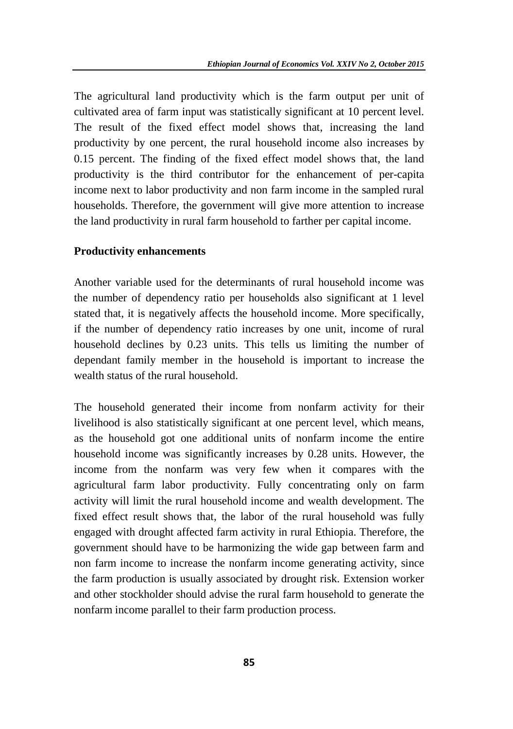The agricultural land productivity which is the farm output per unit of cultivated area of farm input was statistically significant at 10 percent level. The result of the fixed effect model shows that, increasing the land productivity by one percent, the rural household income also increases by 0.15 percent. The finding of the fixed effect model shows that, the land productivity is the third contributor for the enhancement of per-capita income next to labor productivity and non farm income in the sampled rural households. Therefore, the government will give more attention to increase the land productivity in rural farm household to farther per capital income.

#### **Productivity enhancements**

Another variable used for the determinants of rural household income was the number of dependency ratio per households also significant at 1 level stated that, it is negatively affects the household income. More specifically, if the number of dependency ratio increases by one unit, income of rural household declines by 0.23 units. This tells us limiting the number of dependant family member in the household is important to increase the wealth status of the rural household.

The household generated their income from nonfarm activity for their livelihood is also statistically significant at one percent level, which means, as the household got one additional units of nonfarm income the entire household income was significantly increases by 0.28 units. However, the income from the nonfarm was very few when it compares with the agricultural farm labor productivity. Fully concentrating only on farm activity will limit the rural household income and wealth development. The fixed effect result shows that, the labor of the rural household was fully engaged with drought affected farm activity in rural Ethiopia. Therefore, the government should have to be harmonizing the wide gap between farm and non farm income to increase the nonfarm income generating activity, since the farm production is usually associated by drought risk. Extension worker and other stockholder should advise the rural farm household to generate the nonfarm income parallel to their farm production process.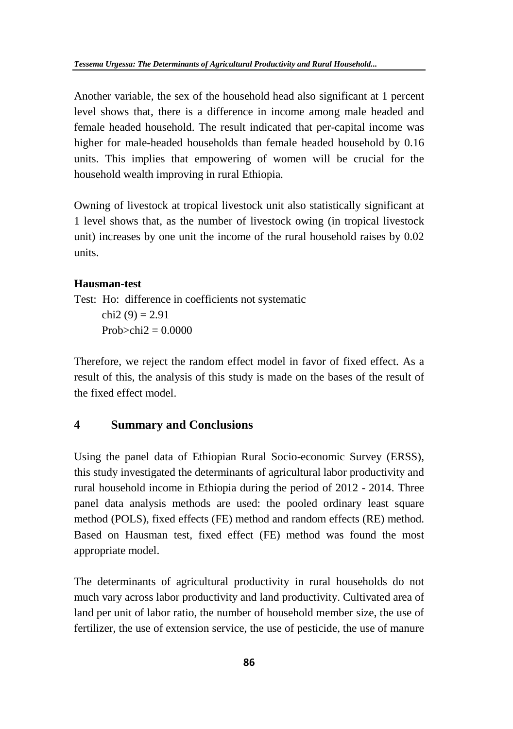Another variable, the sex of the household head also significant at 1 percent level shows that, there is a difference in income among male headed and female headed household. The result indicated that per-capital income was higher for male-headed households than female headed household by 0.16 units. This implies that empowering of women will be crucial for the household wealth improving in rural Ethiopia.

Owning of livestock at tropical livestock unit also statistically significant at 1 level shows that, as the number of livestock owing (in tropical livestock unit) increases by one unit the income of the rural household raises by 0.02 units.

#### **Hausman-test**

Test: Ho: difference in coefficients not systematic chi2 (9) =  $2.91$  $Prob > chi2 = 0.0000$ 

Therefore, we reject the random effect model in favor of fixed effect. As a result of this, the analysis of this study is made on the bases of the result of the fixed effect model.

## **4 Summary and Conclusions**

Using the panel data of Ethiopian Rural Socio-economic Survey (ERSS), this study investigated the determinants of agricultural labor productivity and rural household income in Ethiopia during the period of 2012 - 2014. Three panel data analysis methods are used: the pooled ordinary least square method (POLS), fixed effects (FE) method and random effects (RE) method. Based on Hausman test, fixed effect (FE) method was found the most appropriate model.

The determinants of agricultural productivity in rural households do not much vary across labor productivity and land productivity. Cultivated area of land per unit of labor ratio, the number of household member size, the use of fertilizer, the use of extension service, the use of pesticide, the use of manure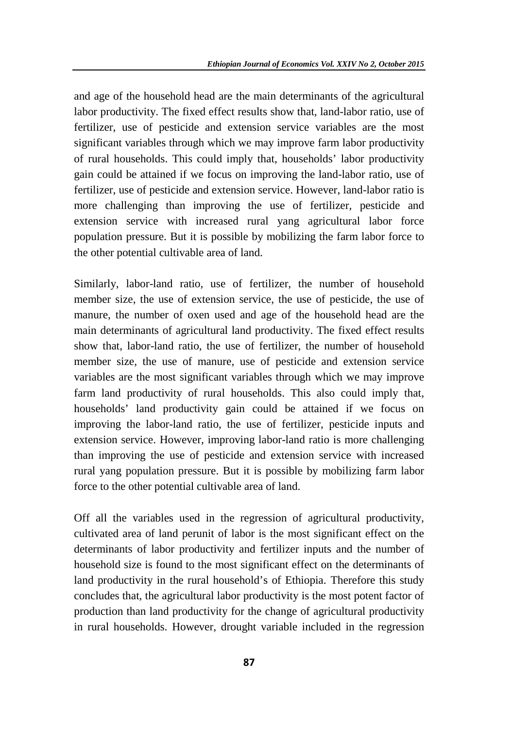and age of the household head are the main determinants of the agricultural labor productivity. The fixed effect results show that, land-labor ratio, use of fertilizer, use of pesticide and extension service variables are the most significant variables through which we may improve farm labor productivity of rural households. This could imply that, households' labor productivity gain could be attained if we focus on improving the land-labor ratio, use of fertilizer, use of pesticide and extension service. However, land-labor ratio is more challenging than improving the use of fertilizer, pesticide and extension service with increased rural yang agricultural labor force population pressure. But it is possible by mobilizing the farm labor force to the other potential cultivable area of land.

Similarly, labor-land ratio, use of fertilizer, the number of household member size, the use of extension service, the use of pesticide, the use of manure, the number of oxen used and age of the household head are the main determinants of agricultural land productivity. The fixed effect results show that, labor-land ratio, the use of fertilizer, the number of household member size, the use of manure, use of pesticide and extension service variables are the most significant variables through which we may improve farm land productivity of rural households. This also could imply that, households' land productivity gain could be attained if we focus on improving the labor-land ratio, the use of fertilizer, pesticide inputs and extension service. However, improving labor-land ratio is more challenging than improving the use of pesticide and extension service with increased rural yang population pressure. But it is possible by mobilizing farm labor force to the other potential cultivable area of land.

Off all the variables used in the regression of agricultural productivity, cultivated area of land perunit of labor is the most significant effect on the determinants of labor productivity and fertilizer inputs and the number of household size is found to the most significant effect on the determinants of land productivity in the rural household's of Ethiopia. Therefore this study concludes that, the agricultural labor productivity is the most potent factor of production than land productivity for the change of agricultural productivity in rural households. However, drought variable included in the regression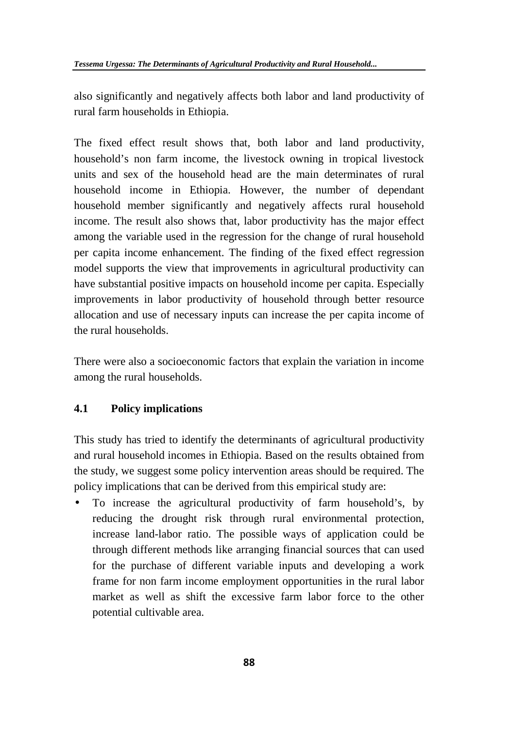also significantly and negatively affects both labor and land productivity of rural farm households in Ethiopia.

The fixed effect result shows that, both labor and land productivity, household's non farm income, the livestock owning in tropical livestock units and sex of the household head are the main determinates of rural household income in Ethiopia. However, the number of dependant household member significantly and negatively affects rural household income. The result also shows that, labor productivity has the major effect among the variable used in the regression for the change of rural household per capita income enhancement. The finding of the fixed effect regression model supports the view that improvements in agricultural productivity can have substantial positive impacts on household income per capita. Especially improvements in labor productivity of household through better resource allocation and use of necessary inputs can increase the per capita income of the rural households.

There were also a socioeconomic factors that explain the variation in income among the rural households.

# **4.1 Policy implications**

This study has tried to identify the determinants of agricultural productivity and rural household incomes in Ethiopia. Based on the results obtained from the study, we suggest some policy intervention areas should be required. The policy implications that can be derived from this empirical study are:

 To increase the agricultural productivity of farm household's, by reducing the drought risk through rural environmental protection, increase land-labor ratio. The possible ways of application could be through different methods like arranging financial sources that can used for the purchase of different variable inputs and developing a work frame for non farm income employment opportunities in the rural labor market as well as shift the excessive farm labor force to the other potential cultivable area.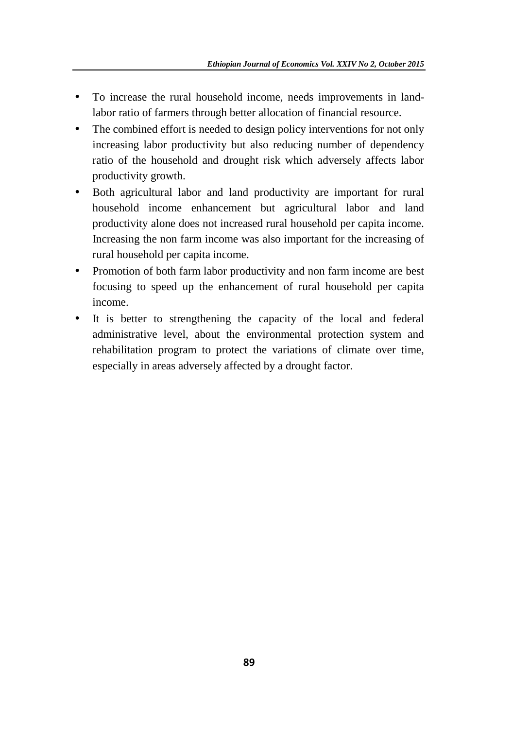- To increase the rural household income, needs improvements in landlabor ratio of farmers through better allocation of financial resource.
- The combined effort is needed to design policy interventions for not only increasing labor productivity but also reducing number of dependency ratio of the household and drought risk which adversely affects labor productivity growth.
- Both agricultural labor and land productivity are important for rural household income enhancement but agricultural labor and land productivity alone does not increased rural household per capita income. Increasing the non farm income was also important for the increasing of rural household per capita income.
- Promotion of both farm labor productivity and non farm income are best focusing to speed up the enhancement of rural household per capita income.
- It is better to strengthening the capacity of the local and federal administrative level, about the environmental protection system and rehabilitation program to protect the variations of climate over time, especially in areas adversely affected by a drought factor.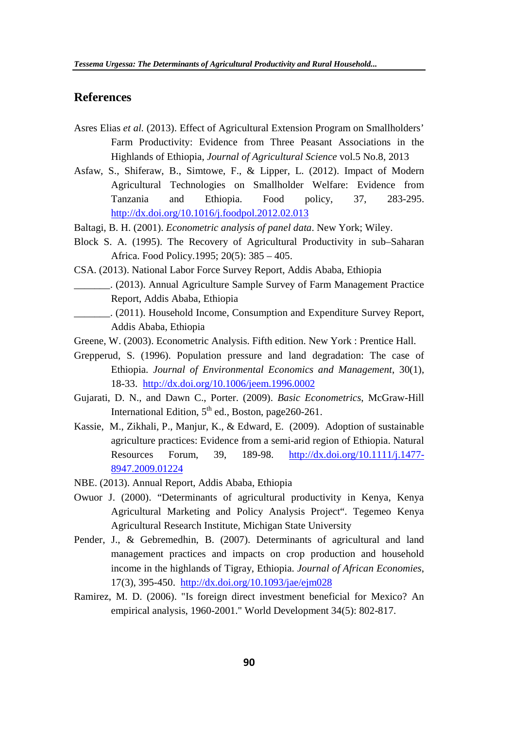#### **References**

- Asres Elias *et al.* (2013). Effect of Agricultural Extension Program on Smallholders' Farm Productivity: Evidence from Three Peasant Associations in the Highlands of Ethiopia, *Journal of Agricultural Science* vol.5 No.8, 2013
- Asfaw, S., Shiferaw, B., Simtowe, F., & Lipper, L. (2012). Impact of Modern Agricultural Technologies on Smallholder Welfare: Evidence from Tanzania and Ethiopia. Food policy, 37, 283-295. http://dx.doi.org/10.1016/j.foodpol.2012.02.013
- Baltagi, B. H. (2001). *Econometric analysis of panel data*. New York; Wiley.
- Block S. A. (1995). The Recovery of Agricultural Productivity in sub–Saharan Africa. Food Policy.1995; 20(5): 385 – 405.
- CSA. (2013). National Labor Force Survey Report, Addis Ababa, Ethiopia \_\_\_\_\_\_\_. (2013). Annual Agriculture Sample Survey of Farm Management Practice Report, Addis Ababa, Ethiopia
- \_\_\_\_\_\_\_. (2011). Household Income, Consumption and Expenditure Survey Report, Addis Ababa, Ethiopia
- Greene, W. (2003). Econometric Analysis. Fifth edition. New York : Prentice Hall.
- Grepperud, S. (1996). Population pressure and land degradation: The case of Ethiopia. *Journal of Environmental Economics and Management*, 30(1), 18-33. http://dx.doi.org/10.1006/jeem.1996.0002
- Gujarati, D. N., and Dawn C., Porter. (2009). *Basic Econometrics*, McGraw-Hill International Edition,  $5<sup>th</sup>$  ed., Boston, page260-261.
- Kassie, M., Zikhali, P., Manjur, K., & Edward, E. (2009). Adoption of sustainable agriculture practices: Evidence from a semi-arid region of Ethiopia. Natural Resources Forum, 39, 189-98. http://dx.doi.org/10.1111/j.1477- 8947.2009.01224
- NBE. (2013). Annual Report, Addis Ababa, Ethiopia
- Owuor J. (2000). "Determinants of agricultural productivity in Kenya, Kenya Agricultural Marketing and Policy Analysis Project". Tegemeo Kenya Agricultural Research Institute, Michigan State University
- Pender, J., & Gebremedhin, B. (2007). Determinants of agricultural and land management practices and impacts on crop production and household income in the highlands of Tigray, Ethiopia. *Journal of African Economies*, 17(3), 395-450. http://dx.doi.org/10.1093/jae/ejm028
- Ramirez, M. D. (2006). "Is foreign direct investment beneficial for Mexico? An empirical analysis, 1960-2001." World Development 34(5): 802-817.